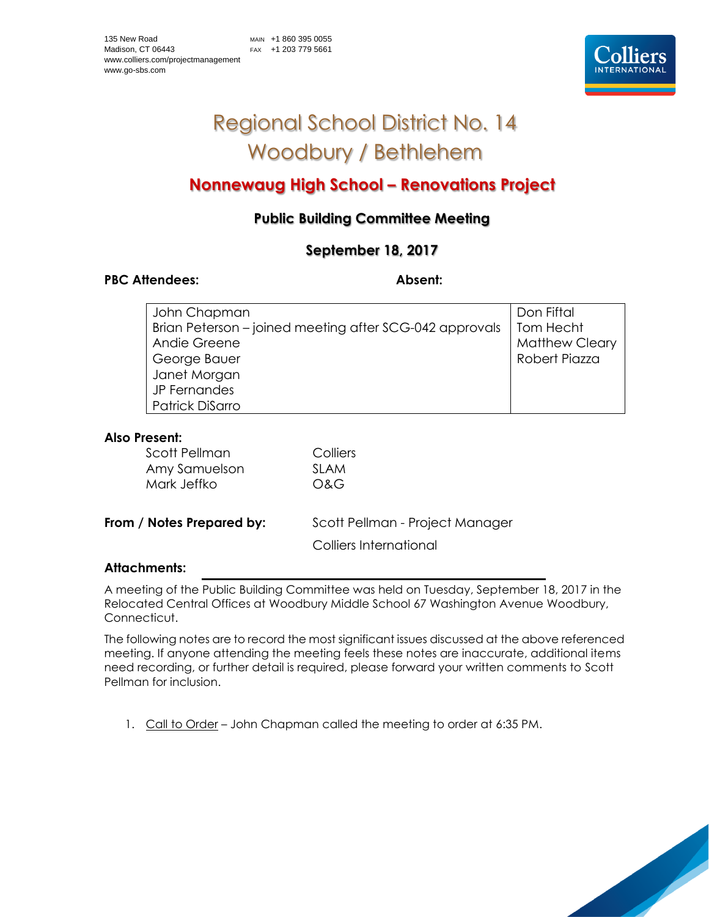

# Regional School District No. 14 Woodbury / Bethlehem

## **Nonnewaug High School – Renovations Project**

## **Public Building Committee Meeting**

### **September 18, 2017**

#### PBC Attendees: Absent:

| John Chapman                                            | Don Fiftal            |
|---------------------------------------------------------|-----------------------|
| Brian Peterson – joined meeting after SCG-042 approvals | Tom Hecht             |
| Andie Greene                                            | <b>Matthew Cleary</b> |
| George Bauer                                            | Robert Piazza         |
| Janet Morgan                                            |                       |
| JP Fernandes                                            |                       |
| Patrick DiSarro                                         |                       |

#### **Also Present:**

| Scott Pellman<br>Amy Samuelson<br>Mark Jeffko | Colliers<br><b>SLAM</b><br>O&G                            |
|-----------------------------------------------|-----------------------------------------------------------|
| From / Notes Prepared by:                     | Scott Pellman - Project Manager<br>Colliers International |
|                                               |                                                           |

#### **Attachments:**

A meeting of the Public Building Committee was held on Tuesday, September 18, 2017 in the Relocated Central Offices at Woodbury Middle School 67 Washington Avenue Woodbury, Connecticut.

The following notes are to record the most significant issues discussed at the above referenced meeting. If anyone attending the meeting feels these notes are inaccurate, additional items need recording, or further detail is required, please forward your written comments to Scott Pellman for inclusion.

1. Call to Order - John Chapman called the meeting to order at 6:35 PM.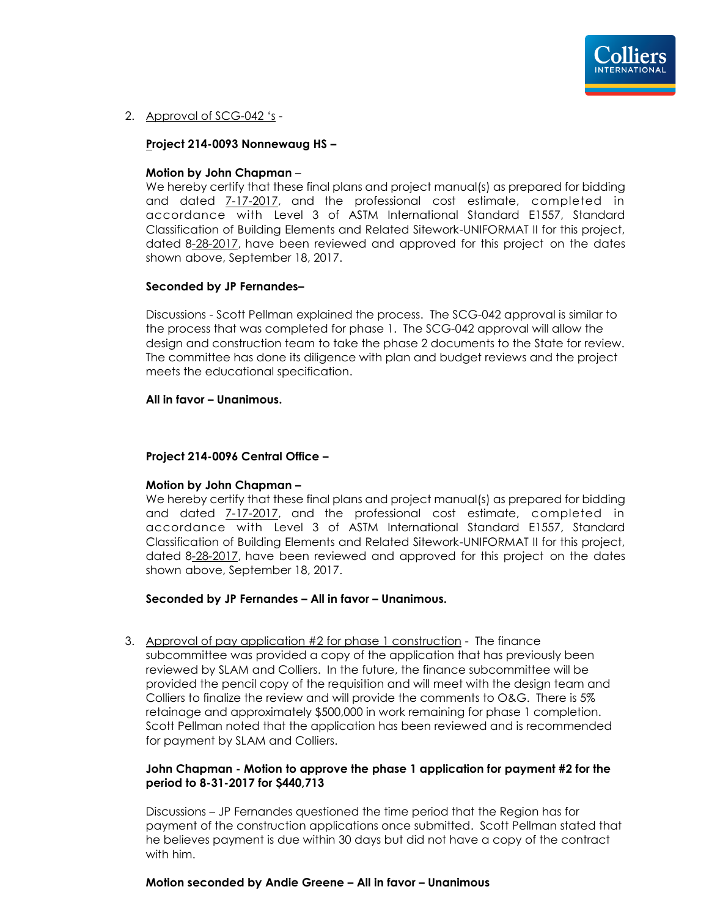2. Approval of SCG-042 's -

#### **Project 214-0093 Nonnewaug HS –**

#### **Motion by John Chapman** –

We hereby certify that these final plans and project manual(s) as prepared for bidding and dated 7-17-2017, and the professional cost estimate, completed in accordance with Level 3 of ASTM International Standard E1557, Standard Classification of Building Elements and Related Sitework-UNIFORMAT II for this project, dated 8-28-2017, have been reviewed and approved for this project on the dates shown above, September 18, 2017.

#### **Seconded by JP Fernandes–**

Discussions - Scott Pellman explained the process. The SCG-042 approval is similar to the process that was completed for phase 1. The SCG-042 approval will allow the design and construction team to take the phase 2 documents to the State for review. The committee has done its diligence with plan and budget reviews and the project meets the educational specification.

#### **All in favor – Unanimous.**

#### **Project 214-0096 Central Office –**

#### **Motion by John Chapman –**

We hereby certify that these final plans and project manual(s) as prepared for bidding and dated 7-17-2017, and the professional cost estimate, completed in accordance with Level 3 of ASTM International Standard E1557, Standard Classification of Building Elements and Related Sitework-UNIFORMAT II for this project, dated 8-28-2017, have been reviewed and approved for this project on the dates shown above, September 18, 2017.

#### **Seconded by JP Fernandes – All in favor – Unanimous.**

3. Approval of pay application #2 for phase 1 construction - The finance subcommittee was provided a copy of the application that has previously been reviewed by SLAM and Colliers. In the future, the finance subcommittee will be provided the pencil copy of the requisition and will meet with the design team and Colliers to finalize the review and will provide the comments to O&G. There is 5% retainage and approximately \$500,000 in work remaining for phase 1 completion. Scott Pellman noted that the application has been reviewed and is recommended for payment by SLAM and Colliers.

#### **John Chapman - Motion to approve the phase 1 application for payment #2 for the period to 8-31-2017 for \$440,713**

Discussions – JP Fernandes questioned the time period that the Region has for payment of the construction applications once submitted. Scott Pellman stated that he believes payment is due within 30 days but did not have a copy of the contract with him.

#### **Motion seconded by Andie Greene – All in favor – Unanimous**